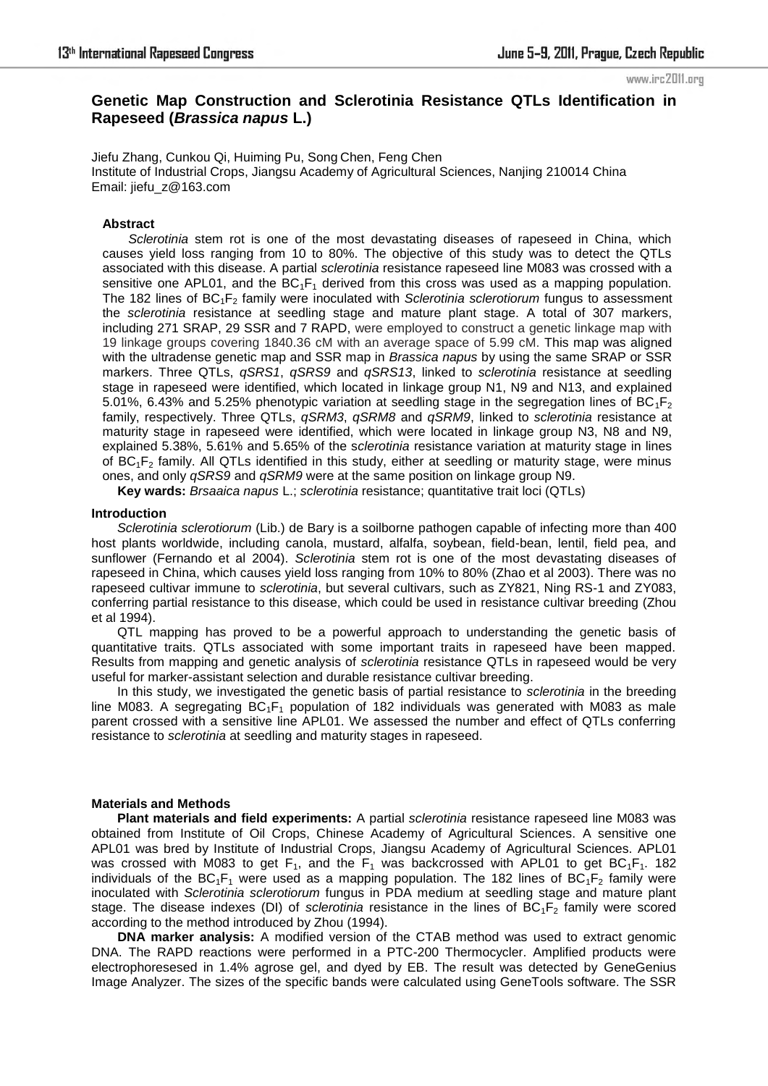#### www.irc2011.org

## **Genetic Map Construction and Sclerotinia Resistance QTLs Identification in Rapeseed (***Brassica napus* **L.)**

Jiefu Zhang, Cunkou Qi, Huiming Pu, Song Chen, Feng Chen Institute of Industrial Crops, Jiangsu Academy of Agricultural Sciences, Nanjing 210014 China Email: jiefu\_z@163.com

#### **Abstract**

*Sclerotinia* stem rot is one of the most devastating diseases of rapeseed in China, which causes yield loss ranging from 10 to 80%. The objective of this study was to detect the QTLs associated with this disease. A partial *sclerotinia* resistance rapeseed line M083 was crossed with a sensitive one APL01, and the  $BC_1F_1$  derived from this cross was used as a mapping population. The 182 lines of BC<sub>1</sub>F<sub>2</sub> family were inoculated with *Sclerotinia sclerotiorum* fungus to assessment the *sclerotinia* resistance at seedling stage and mature plant stage. A total of 307 markers, including 271 SRAP, 29 SSR and 7 RAPD, were employed to construct a genetic linkage map with 19 linkage groups covering 1840.36 cM with an average space of 5.99 cM. This map was aligned with the ultradense genetic map and SSR map in *Brassica napus* by using the same SRAP or SSR markers. Three QTLs, *qSRS1*, *qSRS9* and *qSRS13*, linked to *sclerotinia* resistance at seedling stage in rapeseed were identified, which located in linkage group N1, N9 and N13, and explained 5.01%, 6.43% and 5.25% phenotypic variation at seedling stage in the segregation lines of  $BC_1F_2$ family, respectively. Three QTLs, *qSRM3*, *qSRM8* and *qSRM9*, linked to *sclerotinia* resistance at maturity stage in rapeseed were identified, which were located in linkage group N3, N8 and N9, explained 5.38%, 5.61% and 5.65% of the s*clerotinia* resistance variation at maturity stage in lines of BC1F2 family. All QTLs identified in this study, either at seedling or maturity stage, were minus ones, and only *qSRS9* and *qSRM9* were at the same position on linkage group N9.

**Key wards:** *Brsaaica napus* L.; *sclerotinia* resistance; quantitative trait loci (QTLs)

#### **Introduction**

*Sclerotinia sclerotiorum* (Lib.) de Bary is a soilborne pathogen capable of infecting more than 400 host plants worldwide, including canola, mustard, alfalfa, soybean, field-bean, lentil, field pea, and sunflower (Fernando et al 2004). *Sclerotinia* stem rot is one of the most devastating diseases of rapeseed in China, which causes yield loss ranging from 10% to 80% (Zhao et al 2003). There was no rapeseed cultivar immune to *sclerotinia*, but several cultivars, such as ZY821, Ning RS-1 and ZY083, conferring partial resistance to this disease, which could be used in resistance cultivar breeding (Zhou et al 1994).

QTL mapping has proved to be a powerful approach to understanding the genetic basis of quantitative traits. QTLs associated with some important traits in rapeseed have been mapped. Results from mapping and genetic analysis of *sclerotinia* resistance QTLs in rapeseed would be very useful for marker-assistant selection and durable resistance cultivar breeding.

In this study, we investigated the genetic basis of partial resistance to *sclerotinia* in the breeding line M083. A segregating  $BC_1F_1$  population of 182 individuals was generated with M083 as male parent crossed with a sensitive line APL01. We assessed the number and effect of QTLs conferring resistance to *sclerotinia* at seedling and maturity stages in rapeseed.

## **Materials and Methods**

**Plant materials and field experiments:** A partial *sclerotinia* resistance rapeseed line M083 was obtained from Institute of Oil Crops, Chinese Academy of Agricultural Sciences. A sensitive one APL01 was bred by Institute of Industrial Crops, Jiangsu Academy of Agricultural Sciences. APL01 was crossed with M083 to get  $F_1$ , and the  $F_1$  was backcrossed with APL01 to get BC<sub>1</sub>F<sub>1</sub>. 182 individuals of the  $BC_1F_1$  were used as a mapping population. The 182 lines of  $BC_1F_2$  family were inoculated with *Sclerotinia sclerotiorum* fungus in PDA medium at seedling stage and mature plant stage. The disease indexes (DI) of *sclerotinia* resistance in the lines of BC<sub>1</sub>F<sub>2</sub> family were scored according to the method introduced by Zhou (1994).

**DNA marker analysis:** A modified version of the CTAB method was used to extract genomic DNA. The RAPD reactions were performed in a PTC-200 Thermocycler. Amplified products were electrophoresesed in 1.4% agrose gel, and dyed by EB. The result was detected by GeneGenius Image Analyzer. The sizes of the specific bands were calculated using GeneTools software. The SSR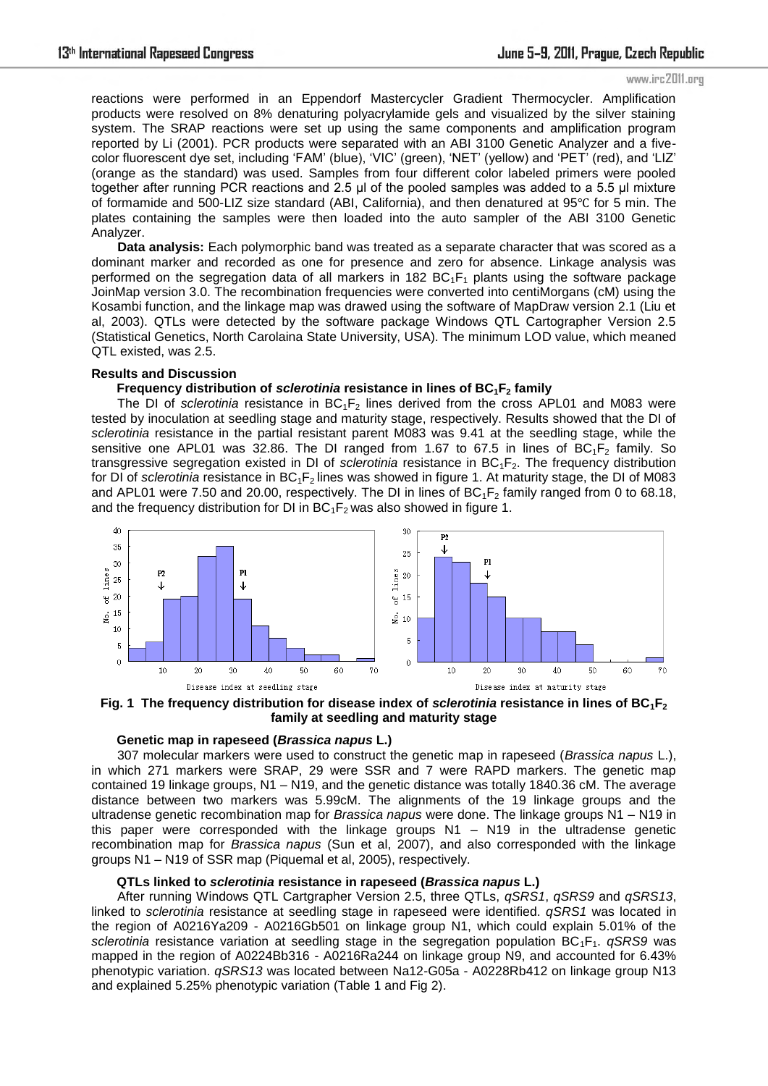#### www.irc2011.org

reactions were performed in an Eppendorf Mastercycler Gradient Thermocycler. Amplification products were resolved on 8% denaturing polyacrylamide gels and visualized by the silver staining system. The SRAP reactions were set up using the same components and amplification program reported by Li (2001). PCR products were separated with an ABI 3100 Genetic Analyzer and a fivecolor fluorescent dye set, including 'FAM' (blue), 'VIC' (green), 'NET' (yellow) and 'PET' (red), and 'LIZ' (orange as the standard) was used. Samples from four different color labeled primers were pooled together after running PCR reactions and 2.5 µl of the pooled samples was added to a 5.5 µl mixture of formamide and 500-LIZ size standard (ABI, California), and then denatured at 95℃ for 5 min. The plates containing the samples were then loaded into the auto sampler of the ABI 3100 Genetic Analyzer.

**Data analysis:** Each polymorphic band was treated as a separate character that was scored as a dominant marker and recorded as one for presence and zero for absence. Linkage analysis was performed on the segregation data of all markers in 182 BC<sub>1</sub>F<sub>1</sub> plants using the software package JoinMap version 3.0. The recombination frequencies were converted into centiMorgans (cM) using the Kosambi function, and the linkage map was drawed using the software of MapDraw version 2.1 (Liu et al, 2003). QTLs were detected by the software package Windows QTL Cartographer Version 2.5 (Statistical Genetics, North Carolaina State University, USA). The minimum LOD value, which meaned QTL existed, was 2.5.

#### **Results and Discussion**

## **Frequency distribution of** *sclerotinia* **resistance in lines of BC1F2 family**

The DI of *sclerotinia* resistance in BC<sub>1</sub>F<sub>2</sub> lines derived from the cross APL01 and M083 were tested by inoculation at seedling stage and maturity stage, respectively. Results showed that the DI of *sclerotinia* resistance in the partial resistant parent M083 was 9.41 at the seedling stage, while the sensitive one APL01 was 32.86. The DI ranged from 1.67 to 67.5 in lines of  $BC_1F_2$  family. So transgressive segregation existed in DI of *sclerotinia* resistance in BC1F2. The frequency distribution for DI of *sclerotinia* resistance in BC<sub>1</sub>F<sub>2</sub> lines was showed in figure 1. At maturity stage, the DI of M083 and APL01 were 7.50 and 20.00, respectively. The DI in lines of  $BC_1F_2$  family ranged from 0 to 68.18, and the frequency distribution for DI in  $BC_1F_2$  was also showed in figure 1.



**Fig. 1 The frequency distribution for disease index of** *sclerotinia* **resistance in lines of BC1F<sup>2</sup> family at seedling and maturity stage**

## **Genetic map in rapeseed (***Brassica napus* **L.)**

307 molecular markers were used to construct the genetic map in rapeseed (*Brassica napus* L.), in which 271 markers were SRAP, 29 were SSR and 7 were RAPD markers. The genetic map contained 19 linkage groups, N1 – N19, and the genetic distance was totally 1840.36 cM. The average distance between two markers was 5.99cM. The alignments of the 19 linkage groups and the ultradense genetic recombination map for *Brassica napus* were done. The linkage groups N1 – N19 in this paper were corresponded with the linkage groups  $N1 - N19$  in the ultradense genetic recombination map for *Brassica napus* (Sun et al, 2007), and also corresponded with the linkage groups N1 – N19 of SSR map (Piquemal et al, 2005), respectively.

## **QTLs linked to** *sclerotinia* **resistance in rapeseed (***Brassica napus* **L.)**

After running Windows QTL Cartgrapher Version 2.5, three QTLs, *qSRS1*, *qSRS9* and *qSRS13*, linked to *sclerotinia* resistance at seedling stage in rapeseed were identified. *qSRS1* was located in the region of A0216Ya209 - A0216Gb501 on linkage group N1, which could explain 5.01% of the *sclerotinia* resistance variation at seedling stage in the segregation population BC<sub>1</sub>F<sub>1</sub>. *qSRS9* was mapped in the region of A0224Bb316 - A0216Ra244 on linkage group N9, and accounted for 6.43% phenotypic variation. *qSRS13* was located between Na12-G05a - A0228Rb412 on linkage group N13 and explained 5.25% phenotypic variation (Table 1 and Fig 2).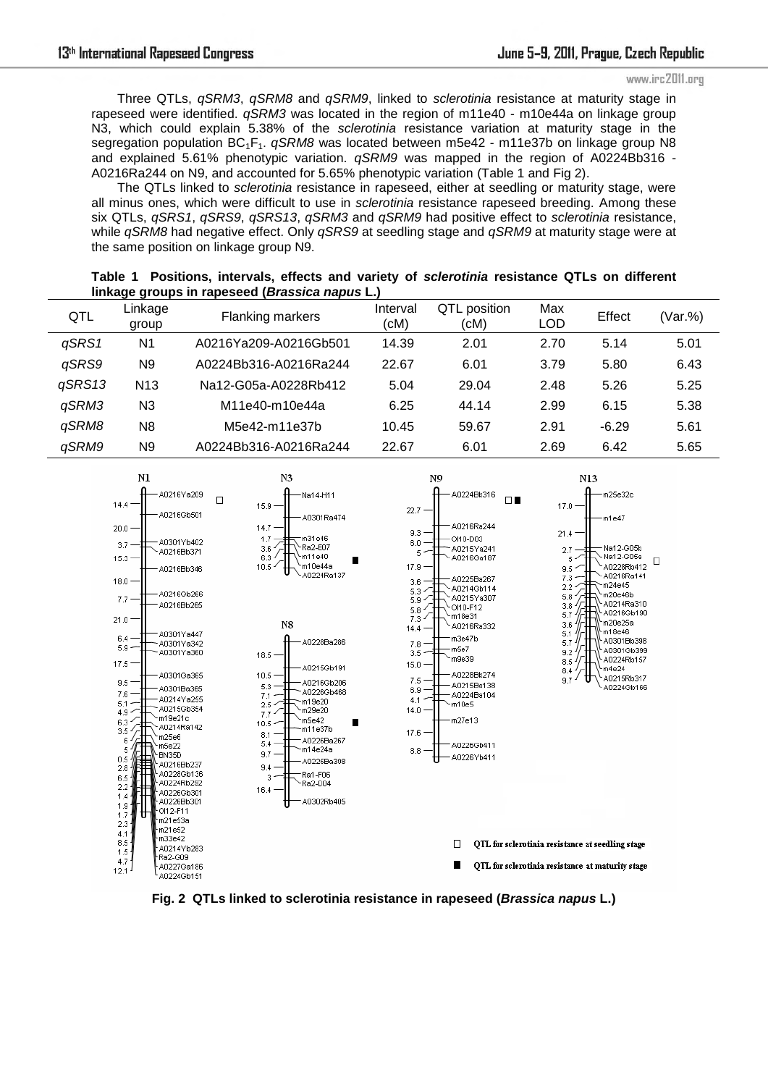Three QTLs, *qSRM3*, *qSRM8* and *qSRM9*, linked to *sclerotinia* resistance at maturity stage in rapeseed were identified. *qSRM3* was located in the region of m11e40 - m10e44a on linkage group N3, which could explain 5.38% of the *sclerotinia* resistance variation at maturity stage in the segregation population BC<sub>1</sub>F<sub>1</sub>. *qSRM8* was located between m5e42 - m11e37b on linkage group N8 and explained 5.61% phenotypic variation. *qSRM9* was mapped in the region of A0224Bb316 - A0216Ra244 on N9, and accounted for 5.65% phenotypic variation (Table 1 and Fig 2).

The QTLs linked to *sclerotinia* resistance in rapeseed, either at seedling or maturity stage, were all minus ones, which were difficult to use in *sclerotinia* resistance rapeseed breeding. Among these six QTLs, *qSRS1*, *qSRS9*, *qSRS13*, *qSRM3* and *qSRM9* had positive effect to *sclerotinia* resistance, while *qSRM8* had negative effect. Only *qSRS9* at seedling stage and *qSRM9* at maturity stage were at the same position on linkage group N9.

| QTL    | Linkage<br>group | Flanking markers      | Interval<br>(cM) | QTL position<br>(cM) | Max<br><b>LOD</b> | Effect  | (Var.%) |
|--------|------------------|-----------------------|------------------|----------------------|-------------------|---------|---------|
| qSRS1  | N <sub>1</sub>   | A0216Ya209-A0216Gb501 | 14.39            | 2.01                 | 2.70              | 5.14    | 5.01    |
| qSRS9  | N9               | A0224Bb316-A0216Ra244 | 22.67            | 6.01                 | 3.79              | 5.80    | 6.43    |
| qSRS13 | N <sub>13</sub>  | Na12-G05a-A0228Rb412  | 5.04             | 29.04                | 2.48              | 5.26    | 5.25    |
| qSRM3  | N3               | M11e40-m10e44a        | 6.25             | 44.14                | 2.99              | 6.15    | 5.38    |
| aSRM8  | N <sub>8</sub>   | M5e42-m11e37b         | 10.45            | 59.67                | 2.91              | $-6.29$ | 5.61    |
| qSRM9  | N9               | A0224Bb316-A0216Ra244 | 22.67            | 6.01                 | 2.69              | 6.42    | 5.65    |



**Fig. 2 QTLs linked to sclerotinia resistance in rapeseed (***Brassica napus* **L.)** 

# **Table 1 Positions, intervals, effects and variety of** *sclerotinia* **resistance QTLs on different linkage groups in rapeseed (***Brassica napus* **L.)**